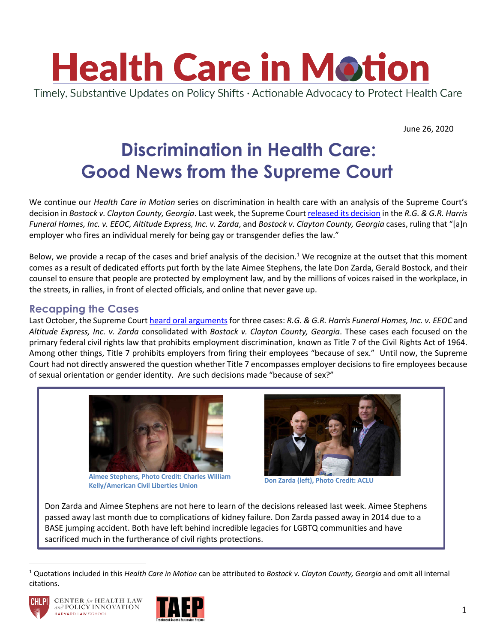

June 26, 2020

# **Discrimination in Health Care: Good News from the Supreme Court**

We continue our *Health Care in Motion* series on discrimination in health care with an analysis of the Supreme Court's decision in *Bostock v. Clayton County, Georgia*. Last week, the Supreme Court released its decision in the *R.G. & G.R. Harris Funeral Homes, Inc. v. EEOC, Altitude Express, Inc. v. Zarda*, and *Bostock v. Clayton County, Georgia* cases, ruling that "[a]n employer who fires an individual merely for being gay or transgender defies the law."

Below, we provide a recap of the cases and brief analysis of the decision.<sup>1</sup> We recognize at the outset that this moment comes as a result of dedicated efforts put forth by the late Aimee Stephens, the late Don Zarda, Gerald Bostock, and their counsel to ensure that people are protected by employment law, and by the millions of voices raised in the workplace, in the streets, in rallies, in front of elected officials, and online that never gave up.

#### **Recapping the Cases**

Last October, the Supreme Court heard oral arguments for three cases: *R.G. & G.R. Harris Funeral Homes, Inc. v. EEOC* and *Altitude Express, Inc. v. Zarda* consolidated with *Bostock v. Clayton County, Georgia*. These cases each focused on the primary federal civil rights law that prohibits employment discrimination, known as Title 7 of the Civil Rights Act of 1964. Among other things, Title 7 prohibits employers from firing their employees "because of sex." Until now, the Supreme Court had not directly answered the question whether Title 7 encompasses employer decisions to fire employees because of sexual orientation or gender identity. Are such decisions made "because of sex?"



**Aimee Stephens, Photo Credit: Charles William Kelly/American Civil Liberties Union Don Zarda (left), Photo Credit: ACLU**



Don Zarda and Aimee Stephens are not here to learn of the decisions released last week. Aimee Stephens passed away last month due to complications of kidney failure. Don Zarda passed away in 2014 due to a BASE jumping accident. Both have left behind incredible legacies for LGBTQ communities and have sacrificed much in the furtherance of civil rights protections.

<sup>1</sup> Quotations included in this *Health Care in Motion* can be attributed to *Bostock v. Clayton County, Georgia* and omit all internal citations.



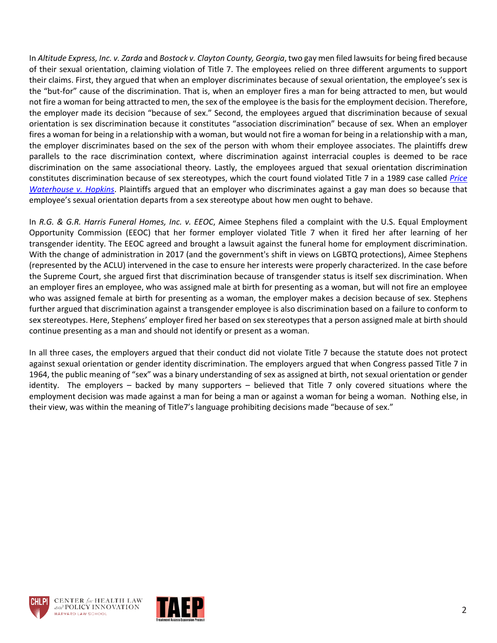In *Altitude Express, Inc. v. Zarda* and *Bostock v. Clayton County, Georgia*, two gay men filed lawsuits for being fired because of their sexual orientation, claiming violation of Title 7. The employees relied on three different arguments to support their claims. First, they argued that when an employer discriminates because of sexual orientation, the employee's sex is the "but-for" cause of the discrimination. That is, when an employer fires a man for being attracted to men, but would not fire a woman for being attracted to men, the sex of the employee is the basis for the employment decision. Therefore, the employer made its decision "because of sex." Second, the employees argued that discrimination because of sexual orientation is sex discrimination because it constitutes "association discrimination" because of sex. When an employer fires a woman for being in a relationship with a woman, but would not fire a woman for being in a relationship with a man, the employer discriminates based on the sex of the person with whom their employee associates. The plaintiffs drew parallels to the race discrimination context, where discrimination against interracial couples is deemed to be race discrimination on the same associational theory. Lastly, the employees argued that sexual orientation discrimination constitutes discrimination because of sex stereotypes, which the court found violated Title 7 in a 1989 case called *Price Waterhouse v. Hopkins*. Plaintiffs argued that an employer who discriminates against a gay man does so because that employee's sexual orientation departs from a sex stereotype about how men ought to behave.

In *R.G. & G.R. Harris Funeral Homes, Inc. v. EEOC*, Aimee Stephens filed a complaint with the U.S. Equal Employment Opportunity Commission (EEOC) that her former employer violated Title 7 when it fired her after learning of her transgender identity. The EEOC agreed and brought a lawsuit against the funeral home for employment discrimination. With the change of administration in 2017 (and the government's shift in views on LGBTQ protections), Aimee Stephens (represented by the ACLU) intervened in the case to ensure her interests were properly characterized. In the case before the Supreme Court, she argued first that discrimination because of transgender status is itself sex discrimination. When an employer fires an employee, who was assigned male at birth for presenting as a woman, but will not fire an employee who was assigned female at birth for presenting as a woman, the employer makes a decision because of sex. Stephens further argued that discrimination against a transgender employee is also discrimination based on a failure to conform to sex stereotypes. Here, Stephens' employer fired her based on sex stereotypes that a person assigned male at birth should continue presenting as a man and should not identify or present as a woman.

In all three cases, the employers argued that their conduct did not violate Title 7 because the statute does not protect against sexual orientation or gender identity discrimination. The employers argued that when Congress passed Title 7 in 1964, the public meaning of "sex" was a binary understanding of sex as assigned at birth, not sexual orientation or gender identity. The employers – backed by many supporters – believed that Title 7 only covered situations where the employment decision was made against a man for being a man or against a woman for being a woman. Nothing else, in their view, was within the meaning of Title7's language prohibiting decisions made "because of sex."



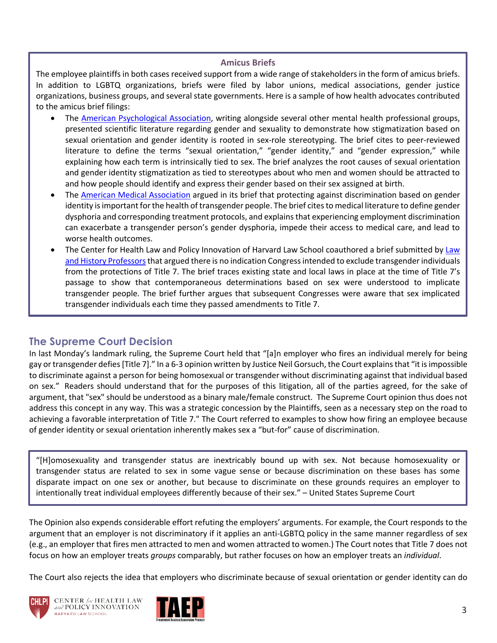#### **Amicus Briefs**

The employee plaintiffs in both cases received support from a wide range of stakeholders in the form of amicus briefs. In addition to LGBTQ organizations, briefs were filed by labor unions, medical associations, gender justice organizations, business groups, and several state governments. Here is a sample of how health advocates contributed to the amicus brief filings:

- The American Psychological Association, writing alongside several other mental health professional groups, presented scientific literature regarding gender and sexuality to demonstrate how stigmatization based on sexual orientation and gender identity is rooted in sex-role stereotyping. The brief cites to peer-reviewed literature to define the terms "sexual orientation," "gender identity," and "gender expression," while explaining how each term is intrinsically tied to sex. The brief analyzes the root causes of sexual orientation and gender identity stigmatization as tied to stereotypes about who men and women should be attracted to and how people should identify and express their gender based on their sex assigned at birth.
- The American Medical Association argued in its brief that protecting against discrimination based on gender identity is important for the health of transgender people. The brief cites to medical literature to define gender dysphoria and corresponding treatment protocols, and explains that experiencing employment discrimination can exacerbate a transgender person's gender dysphoria, impede their access to medical care, and lead to worse health outcomes.
- The Center for Health Law and Policy Innovation of Harvard Law School coauthored a brief submitted by Law and History Professorsthat argued there is no indication Congress intended to exclude transgender individuals from the protections of Title 7. The brief traces existing state and local laws in place at the time of Title 7's passage to show that contemporaneous determinations based on sex were understood to implicate transgender people. The brief further argues that subsequent Congresses were aware that sex implicated transgender individuals each time they passed amendments to Title 7.

#### **The Supreme Court Decision**

In last Monday's landmark ruling, the Supreme Court held that "[a]n employer who fires an individual merely for being gay or transgender defies [Title 7]." In a 6-3 opinion written by Justice Neil Gorsuch, the Court explains that "it is impossible to discriminate against a person for being homosexual or transgender without discriminating against that individual based on sex." Readers should understand that for the purposes of this litigation, all of the parties agreed, for the sake of argument, that "sex" should be understood as a binary male/female construct. The Supreme Court opinion thus does not address this concept in any way. This was a strategic concession by the Plaintiffs, seen as a necessary step on the road to achieving a favorable interpretation of Title 7." The Court referred to examples to show how firing an employee because of gender identity or sexual orientation inherently makes sex a "but-for" cause of discrimination.

"[H]omosexuality and transgender status are inextricably bound up with sex. Not because homosexuality or transgender status are related to sex in some vague sense or because discrimination on these bases has some disparate impact on one sex or another, but because to discriminate on these grounds requires an employer to intentionally treat individual employees differently because of their sex." – United States Supreme Court

The Opinion also expends considerable effort refuting the employers' arguments. For example, the Court responds to the argument that an employer is not discriminatory if it applies an anti-LGBTQ policy in the same manner regardless of sex (e.g., an employer that fires men attracted to men and women attracted to women.) The Court notes that Title 7 does not focus on how an employer treats *groups* comparably, but rather focuses on how an employer treats an *individual*.

The Court also rejects the idea that employers who discriminate because of sexual orientation or gender identity can do



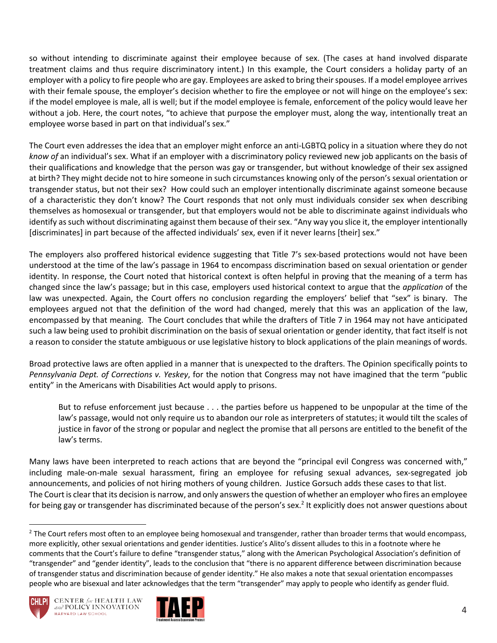so without intending to discriminate against their employee because of sex. (The cases at hand involved disparate treatment claims and thus require discriminatory intent.) In this example, the Court considers a holiday party of an employer with a policy to fire people who are gay. Employees are asked to bring their spouses. If a model employee arrives with their female spouse, the employer's decision whether to fire the employee or not will hinge on the employee's sex: if the model employee is male, all is well; but if the model employee is female, enforcement of the policy would leave her without a job. Here, the court notes, "to achieve that purpose the employer must, along the way, intentionally treat an employee worse based in part on that individual's sex."

The Court even addresses the idea that an employer might enforce an anti-LGBTQ policy in a situation where they do not *know of* an individual's sex. What if an employer with a discriminatory policy reviewed new job applicants on the basis of their qualifications and knowledge that the person was gay or transgender, but without knowledge of their sex assigned at birth? They might decide not to hire someone in such circumstances knowing only of the person's sexual orientation or transgender status, but not their sex? How could such an employer intentionally discriminate against someone because of a characteristic they don't know? The Court responds that not only must individuals consider sex when describing themselves as homosexual or transgender, but that employers would not be able to discriminate against individuals who identify as such without discriminating against them because of their sex. "Any way you slice it, the employer intentionally [discriminates] in part because of the affected individuals' sex, even if it never learns [their] sex."

The employers also proffered historical evidence suggesting that Title 7's sex-based protections would not have been understood at the time of the law's passage in 1964 to encompass discrimination based on sexual orientation or gender identity. In response, the Court noted that historical context is often helpful in proving that the meaning of a term has changed since the law's passage; but in this case, employers used historical context to argue that the *application* of the law was unexpected. Again, the Court offers no conclusion regarding the employers' belief that "sex" is binary. The employees argued not that the definition of the word had changed, merely that this was an application of the law, encompassed by that meaning. The Court concludes that while the drafters of Title 7 in 1964 may not have anticipated such a law being used to prohibit discrimination on the basis of sexual orientation or gender identity, that fact itself is not a reason to consider the statute ambiguous or use legislative history to block applications of the plain meanings of words.

Broad protective laws are often applied in a manner that is unexpected to the drafters. The Opinion specifically points to *Pennsylvania Dept. of Corrections v. Yeskey*, for the notion that Congress may not have imagined that the term "public entity" in the Americans with Disabilities Act would apply to prisons.

But to refuse enforcement just because . . . the parties before us happened to be unpopular at the time of the law's passage, would not only require us to abandon our role as interpreters of statutes; it would tilt the scales of justice in favor of the strong or popular and neglect the promise that all persons are entitled to the benefit of the law's terms.

Many laws have been interpreted to reach actions that are beyond the "principal evil Congress was concerned with," including male-on-male sexual harassment, firing an employee for refusing sexual advances, sex-segregated job announcements, and policies of not hiring mothers of young children. Justice Gorsuch adds these cases to that list. The Court is clear that its decision is narrow, and only answers the question of whether an employer who fires an employee for being gay or transgender has discriminated because of the person's sex.<sup>2</sup> It explicitly does not answer questions about

 $<sup>2</sup>$  The Court refers most often to an employee being homosexual and transgender, rather than broader terms that would encompass,</sup> more explicitly, other sexual orientations and gender identities. Justice's Alito's dissent alludes to this in a footnote where he comments that the Court's failure to define "transgender status," along with the American Psychological Association's definition of "transgender" and "gender identity", leads to the conclusion that "there is no apparent difference between discrimination because of transgender status and discrimination because of gender identity." He also makes a note that sexual orientation encompasses people who are bisexual and later acknowledges that the term "transgender" may apply to people who identify as gender fluid.



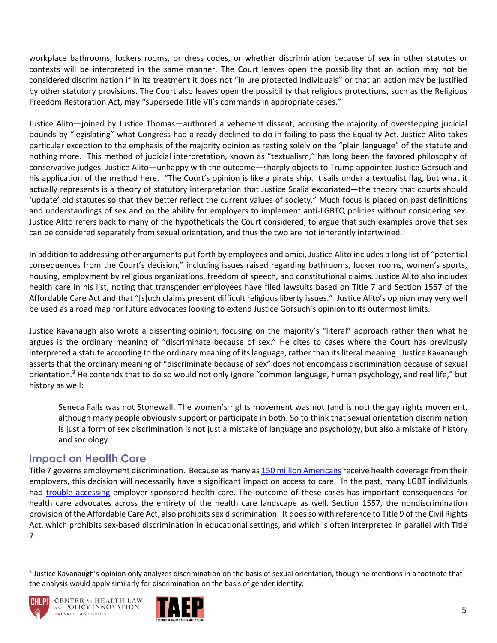workplace bathrooms, lockers rooms, or dress codes, or whether discrimination because of sex in other statutes or contexts will be interpreted in the same manner. The Court leaves open the possibility that an action may not be considered discrimination if in its treatment it does not "injure protected individuals" or that an action may be justified by other statutory provisions. The Court also leaves open the possibility that religious protections, such as the Religious Freedom Restoration Act, may "supersede Title VII's commands in appropriate cases."

Justice Alito—joined by Justice Thomas—authored a vehement dissent, accusing the majority of overstepping judicial bounds by "legislating" what Congress had already declined to do in failing to pass the Equality Act. Justice Alito takes particular exception to the emphasis of the majority opinion as resting solely on the "plain language" of the statute and nothing more. This method of judicial interpretation, known as "textualism," has long been the favored philosophy of conservative judges. Justice Alito—unhappy with the outcome—sharply objects to Trump appointee Justice Gorsuch and his application of the method here. "The Court's opinion is like a pirate ship. It sails under a textualist flag, but what it actually represents is a theory of statutory interpretation that Justice Scalia excoriated—the theory that courts should 'update' old statutes so that they better reflect the current values of society." Much focus is placed on past definitions and understandings of sex and on the ability for employers to implement anti-LGBTQ policies without considering sex. Justice Alito refers back to many of the hypotheticals the Court considered, to argue that such examples prove that sex can be considered separately from sexual orientation, and thus the two are not inherently intertwined.

In addition to addressing other arguments put forth by employees and amici, Justice Alito includes a long list of "potential consequences from the Court's decision," including issues raised regarding bathrooms, locker rooms, women's sports, housing, employment by religious organizations, freedom of speech, and constitutional claims. Justice Alito also includes health care in his list, noting that transgender employees have filed lawsuits based on Title 7 and Section 1557 of the Affordable Care Act and that "[s]uch claims present difficult religious liberty issues." Justice Alito's opinion may very well be used as a road map for future advocates looking to extend Justice Gorsuch's opinion to its outermost limits.

Justice Kavanaugh also wrote a dissenting opinion, focusing on the majority's "literal" approach rather than what he argues is the ordinary meaning of "discriminate because of sex." He cites to cases where the Court has previously interpreted a statute according to the ordinary meaning of its language, rather than its literal meaning. Justice Kavanaugh asserts that the ordinary meaning of "discriminate because of sex" does not encompass discrimination because of sexual orientation.<sup>3</sup> He contends that to do so would not only ignore "common language, human psychology, and real life," but history as well:

Seneca Falls was not Stonewall. The women's rights movement was not (and is not) the gay rights movement, although many people obviously support or participate in both. So to think that sexual orientation discrimination is just a form of sex discrimination is not just a mistake of language and psychology, but also a mistake of history and sociology.

### **Impact on Health Care**

Title 7 governs employment discrimination. Because as many as 150 million Americans receive health coverage from their employers, this decision will necessarily have a significant impact on access to care. In the past, many LGBT individuals had trouble accessing employer-sponsored health care. The outcome of these cases has important consequences for health care advocates across the entirety of the health care landscape as well. Section 1557, the nondiscrimination provision of the Affordable Care Act, also prohibits sex discrimination. It does so with reference to Title 9 of the Civil Rights Act, which prohibits sex-based discrimination in educational settings, and which is often interpreted in parallel with Title 7.

<sup>&</sup>lt;sup>3</sup> Justice Kavanaugh's opinion only analyzes discrimination on the basis of sexual orientation, though he mentions in a footnote that the analysis would apply similarly for discrimination on the basis of gender identity.